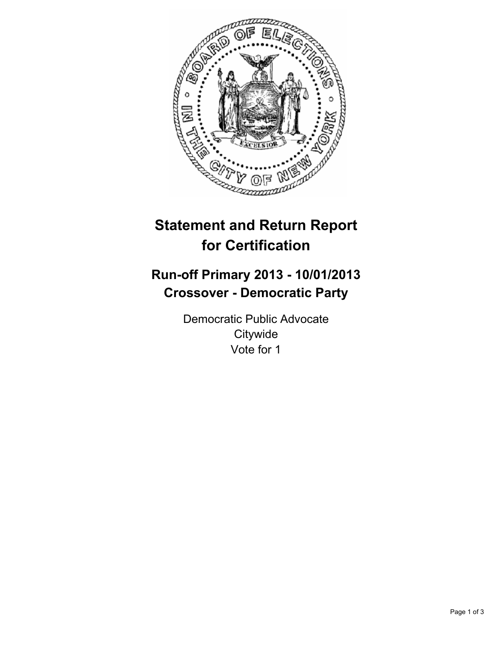

# **Statement and Return Report for Certification**

## **Run-off Primary 2013 - 10/01/2013 Crossover - Democratic Party**

Democratic Public Advocate **Citywide** Vote for 1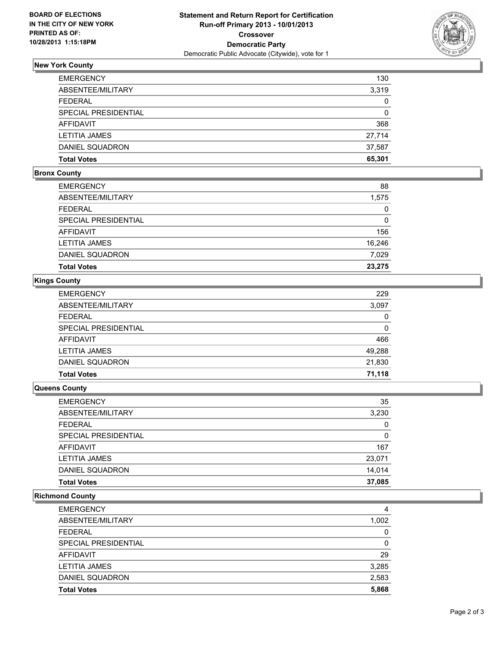

## **New York County**

| <b>EMERGENCY</b>       | 130          |
|------------------------|--------------|
| ABSENTEE/MILITARY      | 3,319        |
| FEDERAL                | $\mathbf{0}$ |
| SPECIAL PRESIDENTIAL   | $\mathbf{0}$ |
| AFFIDAVIT              | 368          |
| <b>LETITIA JAMES</b>   | 27,714       |
| <b>DANIEL SQUADRON</b> | 37.587       |
| <b>Total Votes</b>     | 65,301       |

#### **Bronx County**

| <b>EMERGENCY</b>     | 88     |
|----------------------|--------|
| ABSENTEE/MILITARY    | 1,575  |
| <b>FEDERAL</b>       | 0      |
| SPECIAL PRESIDENTIAL | 0      |
| <b>AFFIDAVIT</b>     | 156    |
| <b>LETITIA JAMES</b> | 16,246 |
| DANIEL SQUADRON      | 7,029  |
| <b>Total Votes</b>   | 23,275 |

## **Kings County**

| <b>EMERGENCY</b>     | 229    |
|----------------------|--------|
| ABSENTEE/MILITARY    | 3,097  |
| <b>FEDERAL</b>       | 0      |
| SPECIAL PRESIDENTIAL | 0      |
| AFFIDAVIT            | 466    |
| <b>LETITIA JAMES</b> | 49,288 |
| DANIEL SQUADRON      | 21,830 |
| <b>Total Votes</b>   | 71,118 |

### **Queens County**

| EMERGENCY            | 35       |
|----------------------|----------|
| ABSENTEE/MILITARY    | 3,230    |
| FEDERAL              | 0        |
| SPECIAL PRESIDENTIAL | $\Omega$ |
| AFFIDAVIT            | 167      |
| LETITIA JAMES        | 23,071   |
| DANIEL SQUADRON      | 14.014   |
| Total Votes          | 37,085   |

## **Richmond County**

| <b>EMERGENCY</b>     |       |
|----------------------|-------|
| ABSENTEE/MILITARY    | 1,002 |
| <b>FEDERAL</b>       | 0     |
| SPECIAL PRESIDENTIAL | 0     |
| AFFIDAVIT            | 29    |
| <b>LETITIA JAMES</b> | 3,285 |
| DANIEL SQUADRON      | 2,583 |
| <b>Total Votes</b>   | 5,868 |